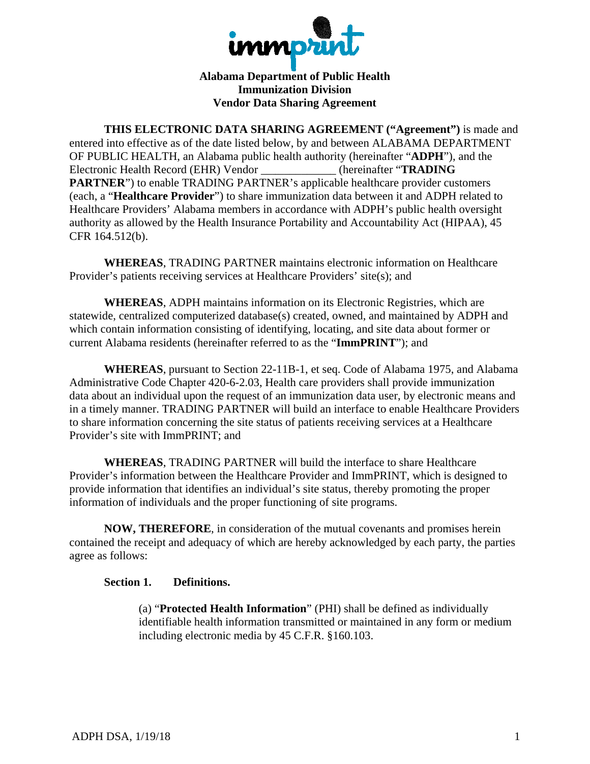

**Alabama Department of Public Health Immunization Division Vendor Data Sharing Agreement** 

THIS ELECTRONIC DATA SHARING AGREEMENT ("Agreement") is made and entered into effective as of the date listed below, by and between ALABAMA DEPARTMENT OF PUBLIC HEALTH, an Alabama public health authority (hereinafter "ADPH"), and the Electronic Health Record (EHR) Vendor (hereinafter "TRADING **PARTNER**") to enable TRADING PARTNER's applicable healthcare provider customers (each, a "Healthcare Provider") to share immunization data between it and ADPH related to Healthcare Providers' Alabama members in accordance with ADPH's public health oversight authority as allowed by the Health Insurance Portability and Accountability Act (HIPAA), 45 CFR 164.512(b).

**WHEREAS, TRADING PARTNER maintains electronic information on Healthcare** Provider's patients receiving services at Healthcare Providers' site(s); and

**WHEREAS, ADPH** maintains information on its Electronic Registries, which are statewide, centralized computerized database(s) created, owned, and maintained by ADPH and which contain information consisting of identifying, locating, and site data about former or current Alabama residents (hereinafter referred to as the "ImmPRINT"); and

**WHEREAS**, pursuant to Section 22-11B-1, et seq. Code of Alabama 1975, and Alabama Administrative Code Chapter 420-6-2.03, Health care providers shall provide immunization data about an individual upon the request of an immunization data user, by electronic means and in a timely manner. TRADING PARTNER will build an interface to enable Healthcare Providers to share information concerning the site status of patients receiving services at a Healthcare Provider's site with ImmPRINT; and

**WHEREAS, TRADING PARTNER will build the interface to share Healthcare** Provider's information between the Healthcare Provider and ImmPRINT, which is designed to provide information that identifies an individual's site status, thereby promoting the proper information of individuals and the proper functioning of site programs.

NOW, THEREFORE, in consideration of the mutual covenants and promises herein contained the receipt and adequacy of which are hereby acknowledged by each party, the parties agree as follows:

## Section 1. Definitions.

(a) "Protected Health Information" (PHI) shall be defined as individually identifiable health information transmitted or maintained in any form or medium including electronic media by 45 C.F.R. §160.103.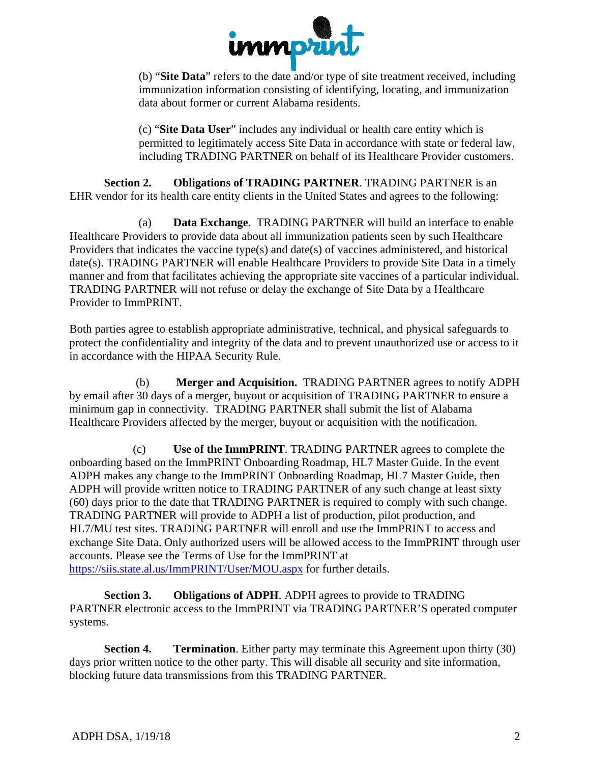

(b) "Site Data" refers to the date and/or type of site treatment received, including immunization information consisting of identifying, locating, and immunization data about former or current Alabama residents.

(c) "Site Data User" includes any individual or health care entity which is permitted to legitimately access Site Data in accordance with state or federal law, including TRADING PARTNER on behalf of its Healthcare Provider customers.

**Obligations of TRADING PARTNER. TRADING PARTNER is an** Section 2. EHR vendor for its health care entity clients in the United States and agrees to the following:

Data Exchange. TRADING PARTNER will build an interface to enable  $(a)$ Healthcare Providers to provide data about all immunization patients seen by such Healthcare Providers that indicates the vaccine type(s) and date(s) of vaccines administered, and historical date(s). TRADING PARTNER will enable Healthcare Providers to provide Site Data in a timely manner and from that facilitates achieving the appropriate site vaccines of a particular individual. TRADING PARTNER will not refuse or delay the exchange of Site Data by a Healthcare Provider to ImmPRINT.

Both parties agree to establish appropriate administrative, technical, and physical safeguards to protect the confidentiality and integrity of the data and to prevent unauthorized use or access to it in accordance with the HIPAA Security Rule.

Merger and Acquisition. TRADING PARTNER agrees to notify ADPH  $(b)$ by email after 30 days of a merger, buyout or acquisition of TRADING PARTNER to ensure a minimum gap in connectivity. TRADING PARTNER shall submit the list of Alabama Healthcare Providers affected by the merger, buyout or acquisition with the notification.

Use of the ImmPRINT. TRADING PARTNER agrees to complete the  $(c)$ onboarding based on the ImmPRINT Onboarding Roadmap, HL7 Master Guide. In the event ADPH makes any change to the ImmPRINT Onboarding Roadmap, HL7 Master Guide, then ADPH will provide written notice to TRADING PARTNER of any such change at least sixty (60) days prior to the date that TRADING PARTNER is required to comply with such change. TRADING PARTNER will provide to ADPH a list of production, pilot production, and HL7/MU test sites. TRADING PARTNER will enroll and use the ImmPRINT to access and exchange Site Data. Only authorized users will be allowed access to the ImmPRINT through user accounts. Please see the Terms of Use for the ImmPRINT at https://siis.state.al.us/ImmPRINT/User/MOU.aspx for further details.

Section 3. **Obligations of ADPH.** ADPH agrees to provide to TRADING PARTNER electronic access to the ImmPRINT via TRADING PARTNER'S operated computer systems.

**Section 4. Termination.** Either party may terminate this Agreement upon thirty (30) days prior written notice to the other party. This will disable all security and site information, blocking future data transmissions from this TRADING PARTNER.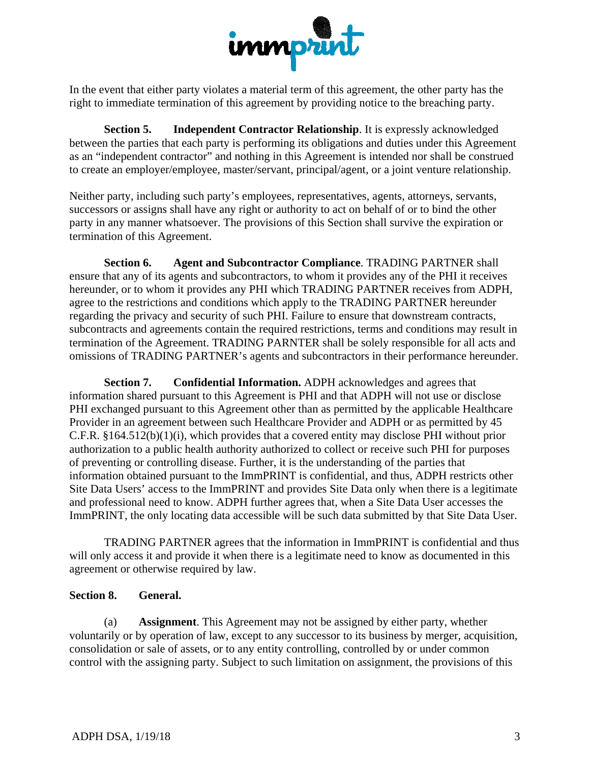

In the event that either party violates a material term of this agreement, the other party has the right to immediate termination of this agreement by providing notice to the breaching party.

Section 5. **Independent Contractor Relationship.** It is expressly acknowledged between the parties that each party is performing its obligations and duties under this Agreement as an "independent contractor" and nothing in this Agreement is intended nor shall be construed to create an employer/employee, master/servant, principal/agent, or a joint venture relationship.

Neither party, including such party's employees, representatives, agents, attorneys, servants, successors or assigns shall have any right or authority to act on behalf of or to bind the other party in any manner whatsoever. The provisions of this Section shall survive the expiration or termination of this Agreement.

Section 6. **Agent and Subcontractor Compliance. TRADING PARTNER shall** ensure that any of its agents and subcontractors, to whom it provides any of the PHI it receives hereunder, or to whom it provides any PHI which TRADING PARTNER receives from ADPH, agree to the restrictions and conditions which apply to the TRADING PARTNER hereunder regarding the privacy and security of such PHI. Failure to ensure that downstream contracts, subcontracts and agreements contain the required restrictions, terms and conditions may result in termination of the Agreement. TRADING PARNTER shall be solely responsible for all acts and omissions of TRADING PARTNER's agents and subcontractors in their performance hereunder.

Confidential Information. ADPH acknowledges and agrees that **Section 7.** information shared pursuant to this Agreement is PHI and that ADPH will not use or disclose PHI exchanged pursuant to this Agreement other than as permitted by the applicable Healthcare Provider in an agreement between such Healthcare Provider and ADPH or as permitted by 45 C.F.R.  $$164.512(b)(1)(i)$ , which provides that a covered entity may disclose PHI without prior authorization to a public health authority authorized to collect or receive such PHI for purposes of preventing or controlling disease. Further, it is the understanding of the parties that information obtained pursuant to the ImmPRINT is confidential, and thus, ADPH restricts other Site Data Users' access to the ImmPRINT and provides Site Data only when there is a legitimate and professional need to know. ADPH further agrees that, when a Site Data User accesses the ImmPRINT, the only locating data accessible will be such data submitted by that Site Data User.

TRADING PARTNER agrees that the information in ImmPRINT is confidential and thus will only access it and provide it when there is a legitimate need to know as documented in this agreement or otherwise required by law.

## Section 8. General.

 $(a)$ **Assignment**. This Agreement may not be assigned by either party, whether voluntarily or by operation of law, except to any successor to its business by merger, acquisition, consolidation or sale of assets, or to any entity controlling, controlled by or under common control with the assigning party. Subject to such limitation on assignment, the provisions of this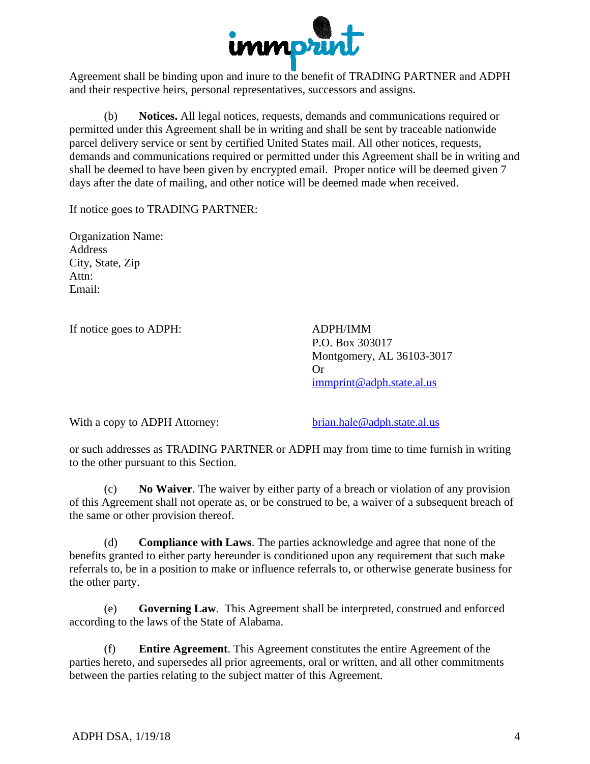

Agreement shall be binding upon and inure to the benefit of TRADING PARTNER and ADPH and their respective heirs, personal representatives, successors and assigns.

Notices. All legal notices, requests, demands and communications required or  $(b)$ permitted under this Agreement shall be in writing and shall be sent by traceable nationwide parcel delivery service or sent by certified United States mail. All other notices, requests, demands and communications required or permitted under this Agreement shall be in writing and shall be deemed to have been given by encrypted email. Proper notice will be deemed given 7 days after the date of mailing, and other notice will be deemed made when received.

If notice goes to TRADING PARTNER:

**Organization Name: Address** City, State, Zip Attn:  $Email:$ 

If notice goes to ADPH:

**ADPH/IMM** P.O. Box 303017 Montgomery, AL 36103-3017 Or. immprint@adph.state.al.us

With a copy to ADPH Attorney:

brian.hale@adph.state.al.us

or such addresses as TRADING PARTNER or ADPH may from time to time furnish in writing to the other pursuant to this Section.

**No Waiver.** The waiver by either party of a breach or violation of any provision  $(c)$ of this Agreement shall not operate as, or be construed to be, a waiver of a subsequent breach of the same or other provision thereof.

(d) **Compliance with Laws.** The parties acknowledge and agree that none of the benefits granted to either party hereunder is conditioned upon any requirement that such make referrals to, be in a position to make or influence referrals to, or otherwise generate business for the other party.

(e) **Governing Law.** This Agreement shall be interpreted, construed and enforced according to the laws of the State of Alabama.

**Entire Agreement.** This Agreement constitutes the entire Agreement of the (f) parties hereto, and supersedes all prior agreements, oral or written, and all other commitments between the parties relating to the subject matter of this Agreement.